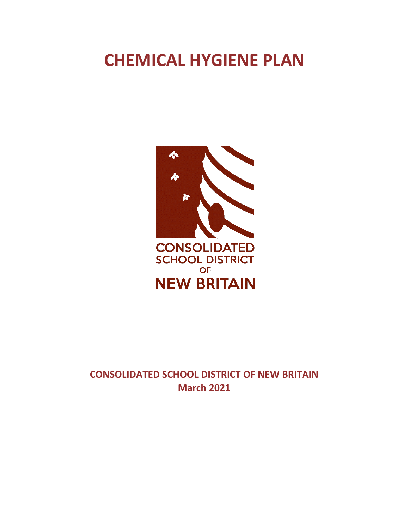# **CHEMICAL HYGIENE PLAN**



**CONSOLIDATED SCHOOL DISTRICT OF NEW BRITAIN March 2021**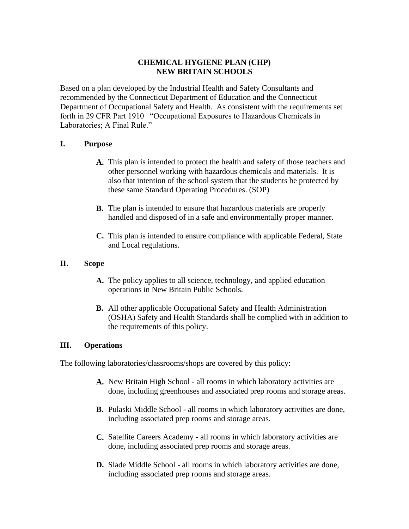## **CHEMICAL HYGIENE PLAN (CHP) NEW BRITAIN SCHOOLS**

Based on a plan developed by the Industrial Health and Safety Consultants and recommended by the Connecticut Department of Education and the Connecticut Department of Occupational Safety and Health. As consistent with the requirements set forth in 29 CFR Part 1910 "Occupational Exposures to Hazardous Chemicals in Laboratories; A Final Rule."

## **I. Purpose**

- **A.** This plan is intended to protect the health and safety of those teachers and other personnel working with hazardous chemicals and materials. It is also that intention of the school system that the students be protected by these same Standard Operating Procedures. (SOP)
- **B.** The plan is intended to ensure that hazardous materials are properly handled and disposed of in a safe and environmentally proper manner.
- **C.** This plan is intended to ensure compliance with applicable Federal, State and Local regulations.

#### **II. Scope**

- **A.** The policy applies to all science, technology, and applied education operations in New Britain Public Schools.
- **B.** All other applicable Occupational Safety and Health Administration (OSHA) Safety and Health Standards shall be complied with in addition to the requirements of this policy.

## **III. Operations**

The following laboratories/classrooms/shops are covered by this policy:

- **A.** New Britain High School all rooms in which laboratory activities are done, including greenhouses and associated prep rooms and storage areas.
- **B.** Pulaski Middle School all rooms in which laboratory activities are done, including associated prep rooms and storage areas.
- **C.** Satellite Careers Academy all rooms in which laboratory activities are done, including associated prep rooms and storage areas.
- **D.** Slade Middle School all rooms in which laboratory activities are done, including associated prep rooms and storage areas.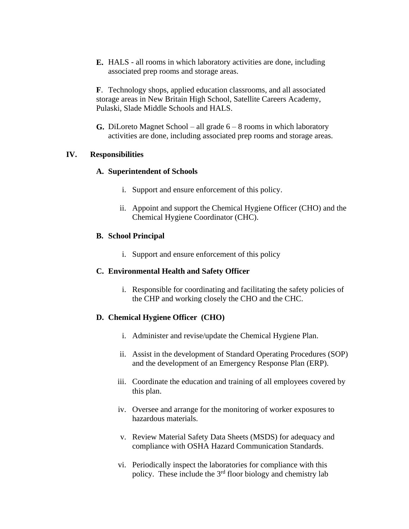**E.** HALS - all rooms in which laboratory activities are done, including associated prep rooms and storage areas.

**F**. Technology shops, applied education classrooms, and all associated storage areas in New Britain High School, Satellite Careers Academy, Pulaski, Slade Middle Schools and HALS.

**G.** DiLoreto Magnet School – all grade 6 – 8 rooms in which laboratory activities are done, including associated prep rooms and storage areas.

#### **IV. Responsibilities**

#### **A. Superintendent of Schools**

- i. Support and ensure enforcement of this policy.
- ii. Appoint and support the Chemical Hygiene Officer (CHO) and the Chemical Hygiene Coordinator (CHC).

## **B. School Principal**

i. Support and ensure enforcement of this policy

## **C. Environmental Health and Safety Officer**

i. Responsible for coordinating and facilitating the safety policies of the CHP and working closely the CHO and the CHC.

## **D. Chemical Hygiene Officer (CHO)**

- i. Administer and revise/update the Chemical Hygiene Plan.
- ii. Assist in the development of Standard Operating Procedures (SOP) and the development of an Emergency Response Plan (ERP).
- iii. Coordinate the education and training of all employees covered by this plan.
- iv. Oversee and arrange for the monitoring of worker exposures to hazardous materials.
- v. Review Material Safety Data Sheets (MSDS) for adequacy and compliance with OSHA Hazard Communication Standards.
- vi. Periodically inspect the laboratories for compliance with this policy. These include the  $3<sup>rd</sup>$  floor biology and chemistry lab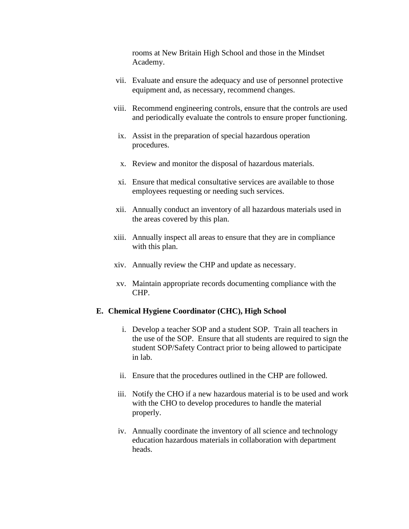rooms at New Britain High School and those in the Mindset Academy.

- vii. Evaluate and ensure the adequacy and use of personnel protective equipment and, as necessary, recommend changes.
- viii. Recommend engineering controls, ensure that the controls are used and periodically evaluate the controls to ensure proper functioning.
- ix. Assist in the preparation of special hazardous operation procedures.
- x. Review and monitor the disposal of hazardous materials.
- xi. Ensure that medical consultative services are available to those employees requesting or needing such services.
- xii. Annually conduct an inventory of all hazardous materials used in the areas covered by this plan.
- xiii. Annually inspect all areas to ensure that they are in compliance with this plan.
- xiv. Annually review the CHP and update as necessary.
- xv. Maintain appropriate records documenting compliance with the CHP.

#### **E. Chemical Hygiene Coordinator (CHC), High School**

- i. Develop a teacher SOP and a student SOP. Train all teachers in the use of the SOP. Ensure that all students are required to sign the student SOP/Safety Contract prior to being allowed to participate in lab.
- ii. Ensure that the procedures outlined in the CHP are followed.
- iii. Notify the CHO if a new hazardous material is to be used and work with the CHO to develop procedures to handle the material properly.
- iv. Annually coordinate the inventory of all science and technology education hazardous materials in collaboration with department heads.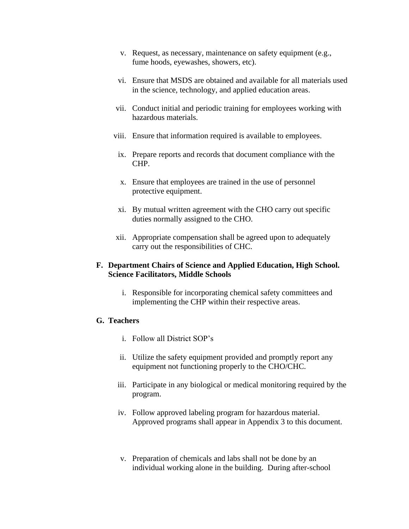- v. Request, as necessary, maintenance on safety equipment (e.g., fume hoods, eyewashes, showers, etc).
- vi. Ensure that MSDS are obtained and available for all materials used in the science, technology, and applied education areas.
- vii. Conduct initial and periodic training for employees working with hazardous materials.
- viii. Ensure that information required is available to employees.
- ix. Prepare reports and records that document compliance with the CHP.
- x. Ensure that employees are trained in the use of personnel protective equipment.
- xi. By mutual written agreement with the CHO carry out specific duties normally assigned to the CHO.
- xii. Appropriate compensation shall be agreed upon to adequately carry out the responsibilities of CHC.

#### **F. Department Chairs of Science and Applied Education, High School. Science Facilitators, Middle Schools**

i. Responsible for incorporating chemical safety committees and implementing the CHP within their respective areas.

#### **G. Teachers**

- i. Follow all District SOP's
- ii. Utilize the safety equipment provided and promptly report any equipment not functioning properly to the CHO/CHC.
- iii. Participate in any biological or medical monitoring required by the program.
- iv. Follow approved labeling program for hazardous material. Approved programs shall appear in Appendix 3 to this document.
- v. Preparation of chemicals and labs shall not be done by an individual working alone in the building. During after-school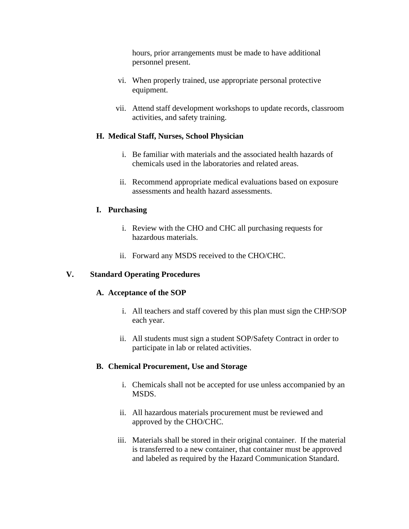hours, prior arrangements must be made to have additional personnel present.

- vi. When properly trained, use appropriate personal protective equipment.
- vii. Attend staff development workshops to update records, classroom activities, and safety training.

## **H. Medical Staff, Nurses, School Physician**

- i. Be familiar with materials and the associated health hazards of chemicals used in the laboratories and related areas.
- ii. Recommend appropriate medical evaluations based on exposure assessments and health hazard assessments.

## **I. Purchasing**

- i. Review with the CHO and CHC all purchasing requests for hazardous materials.
- ii. Forward any MSDS received to the CHO/CHC.

#### **V. Standard Operating Procedures**

#### **A. Acceptance of the SOP**

- i. All teachers and staff covered by this plan must sign the CHP/SOP each year.
- ii. All students must sign a student SOP/Safety Contract in order to participate in lab or related activities.

## **B. Chemical Procurement, Use and Storage**

- i. Chemicals shall not be accepted for use unless accompanied by an MSDS.
- ii. All hazardous materials procurement must be reviewed and approved by the CHO/CHC.
- iii. Materials shall be stored in their original container. If the material is transferred to a new container, that container must be approved and labeled as required by the Hazard Communication Standard.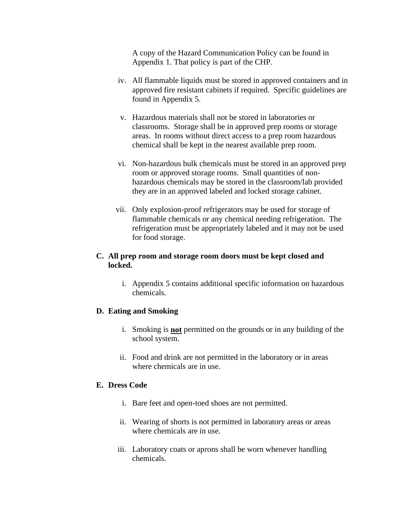A copy of the Hazard Communication Policy can be found in Appendix 1. That policy is part of the CHP.

- iv. All flammable liquids must be stored in approved containers and in approved fire resistant cabinets if required. Specific guidelines are found in Appendix 5.
- v. Hazardous materials shall not be stored in laboratories or classrooms. Storage shall be in approved prep rooms or storage areas. In rooms without direct access to a prep room hazardous chemical shall be kept in the nearest available prep room.
- vi. Non-hazardous bulk chemicals must be stored in an approved prep room or approved storage rooms. Small quantities of nonhazardous chemicals may be stored in the classroom/lab provided they are in an approved labeled and locked storage cabinet.
- vii. Only explosion-proof refrigerators may be used for storage of flammable chemicals or any chemical needing refrigeration. The refrigeration must be appropriately labeled and it may not be used for food storage.

## **C. All prep room and storage room doors must be kept closed and locked.**

i. Appendix 5 contains additional specific information on hazardous chemicals.

## **D. Eating and Smoking**

- i. Smoking is **not** permitted on the grounds or in any building of the school system.
- ii. Food and drink are not permitted in the laboratory or in areas where chemicals are in use.

#### **E. Dress Code**

- i. Bare feet and open-toed shoes are not permitted.
- ii. Wearing of shorts is not permitted in laboratory areas or areas where chemicals are in use.
- iii. Laboratory coats or aprons shall be worn whenever handling chemicals.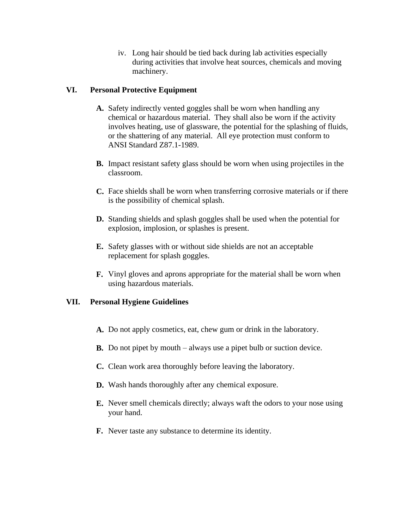iv. Long hair should be tied back during lab activities especially during activities that involve heat sources, chemicals and moving machinery.

## **VI. Personal Protective Equipment**

- **A.** Safety indirectly vented goggles shall be worn when handling any chemical or hazardous material. They shall also be worn if the activity involves heating, use of glassware, the potential for the splashing of fluids, or the shattering of any material. All eye protection must conform to ANSI Standard Z87.1-1989.
- **B.** Impact resistant safety glass should be worn when using projectiles in the classroom.
- **C.** Face shields shall be worn when transferring corrosive materials or if there is the possibility of chemical splash.
- **D.** Standing shields and splash goggles shall be used when the potential for explosion, implosion, or splashes is present.
- **E.** Safety glasses with or without side shields are not an acceptable replacement for splash goggles.
- **F.** Vinyl gloves and aprons appropriate for the material shall be worn when using hazardous materials.

#### **VII. Personal Hygiene Guidelines**

- **A.** Do not apply cosmetics, eat, chew gum or drink in the laboratory.
- **B.** Do not pipet by mouth always use a pipet bulb or suction device.
- **C.** Clean work area thoroughly before leaving the laboratory.
- **D.** Wash hands thoroughly after any chemical exposure.
- **E.** Never smell chemicals directly; always waft the odors to your nose using your hand.
- **F.** Never taste any substance to determine its identity.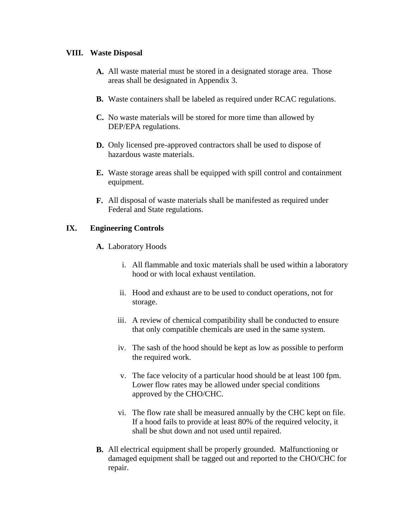#### **VIII. Waste Disposal**

- **A.** All waste material must be stored in a designated storage area. Those areas shall be designated in Appendix 3.
- **B.** Waste containers shall be labeled as required under RCAC regulations.
- **C.** No waste materials will be stored for more time than allowed by DEP/EPA regulations.
- **D.** Only licensed pre-approved contractors shall be used to dispose of hazardous waste materials.
- **E.** Waste storage areas shall be equipped with spill control and containment equipment.
- **F.** All disposal of waste materials shall be manifested as required under Federal and State regulations.

## **IX. Engineering Controls**

- **A.** Laboratory Hoods
	- i. All flammable and toxic materials shall be used within a laboratory hood or with local exhaust ventilation.
	- ii. Hood and exhaust are to be used to conduct operations, not for storage.
	- iii. A review of chemical compatibility shall be conducted to ensure that only compatible chemicals are used in the same system.
	- iv. The sash of the hood should be kept as low as possible to perform the required work.
	- v. The face velocity of a particular hood should be at least 100 fpm. Lower flow rates may be allowed under special conditions approved by the CHO/CHC.
	- vi. The flow rate shall be measured annually by the CHC kept on file. If a hood fails to provide at least 80% of the required velocity, it shall be shut down and not used until repaired.
- **B.** All electrical equipment shall be properly grounded. Malfunctioning or damaged equipment shall be tagged out and reported to the CHO/CHC for repair.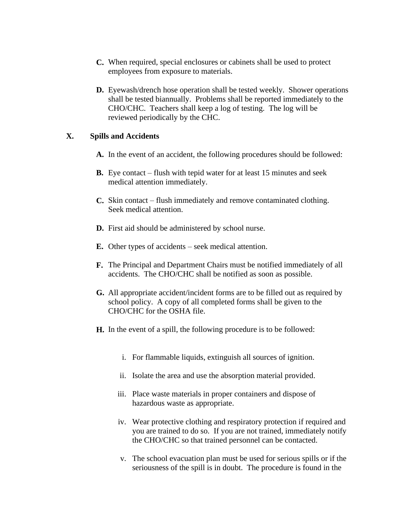- **C.** When required, special enclosures or cabinets shall be used to protect employees from exposure to materials.
- **D.** Eyewash/drench hose operation shall be tested weekly. Shower operations shall be tested biannually. Problems shall be reported immediately to the CHO/CHC. Teachers shall keep a log of testing. The log will be reviewed periodically by the CHC.

#### **X. Spills and Accidents**

- **A.** In the event of an accident, the following procedures should be followed:
- **B.** Eye contact flush with tepid water for at least 15 minutes and seek medical attention immediately.
- **C.** Skin contact flush immediately and remove contaminated clothing. Seek medical attention.
- **D.** First aid should be administered by school nurse.
- **E.** Other types of accidents seek medical attention.
- **F.** The Principal and Department Chairs must be notified immediately of all accidents. The CHO/CHC shall be notified as soon as possible.
- **G.** All appropriate accident/incident forms are to be filled out as required by school policy. A copy of all completed forms shall be given to the CHO/CHC for the OSHA file.
- **H.** In the event of a spill, the following procedure is to be followed:
	- i. For flammable liquids, extinguish all sources of ignition.
	- ii. Isolate the area and use the absorption material provided.
	- iii. Place waste materials in proper containers and dispose of hazardous waste as appropriate.
	- iv. Wear protective clothing and respiratory protection if required and you are trained to do so. If you are not trained, immediately notify the CHO/CHC so that trained personnel can be contacted.
	- v. The school evacuation plan must be used for serious spills or if the seriousness of the spill is in doubt. The procedure is found in the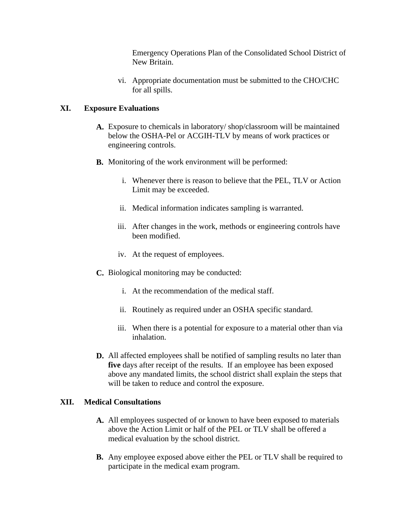Emergency Operations Plan of the Consolidated School District of New Britain.

vi. Appropriate documentation must be submitted to the CHO/CHC for all spills.

## **XI. Exposure Evaluations**

- **A.** Exposure to chemicals in laboratory/ shop/classroom will be maintained below the OSHA-Pel or ACGIH-TLV by means of work practices or engineering controls.
- **B.** Monitoring of the work environment will be performed:
	- i. Whenever there is reason to believe that the PEL, TLV or Action Limit may be exceeded.
	- ii. Medical information indicates sampling is warranted.
	- iii. After changes in the work, methods or engineering controls have been modified.
	- iv. At the request of employees.
- **C.** Biological monitoring may be conducted:
	- i. At the recommendation of the medical staff.
	- ii. Routinely as required under an OSHA specific standard.
	- iii. When there is a potential for exposure to a material other than via inhalation.
- **D.** All affected employees shall be notified of sampling results no later than **five** days after receipt of the results. If an employee has been exposed above any mandated limits, the school district shall explain the steps that will be taken to reduce and control the exposure.

## **XII. Medical Consultations**

- **A.** All employees suspected of or known to have been exposed to materials above the Action Limit or half of the PEL or TLV shall be offered a medical evaluation by the school district.
- **B.** Any employee exposed above either the PEL or TLV shall be required to participate in the medical exam program.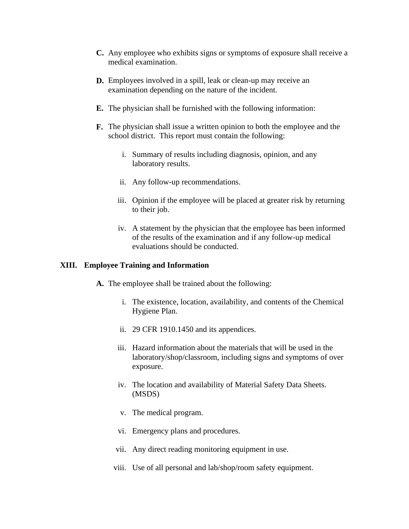- **C.** Any employee who exhibits signs or symptoms of exposure shall receive a medical examination.
- **D.** Employees involved in a spill, leak or clean-up may receive an examination depending on the nature of the incident.
- **E.** The physician shall be furnished with the following information:
- **F.** The physician shall issue a written opinion to both the employee and the school district. This report must contain the following:
	- i. Summary of results including diagnosis, opinion, and any laboratory results.
	- ii. Any follow-up recommendations.
	- iii. Opinion if the employee will be placed at greater risk by returning to their job.
	- iv. A statement by the physician that the employee has been informed of the results of the examination and if any follow-up medical evaluations should be conducted.

#### **XIII. Employee Training and Information**

- **A.** The employee shall be trained about the following:
	- i. The existence, location, availability, and contents of the Chemical Hygiene Plan.
	- ii. 29 CFR 1910.1450 and its appendices.
	- iii. Hazard information about the materials that will be used in the laboratory/shop/classroom, including signs and symptoms of over exposure.
	- iv. The location and availability of Material Safety Data Sheets. (MSDS)
	- v. The medical program.
	- vi. Emergency plans and procedures.
	- vii. Any direct reading monitoring equipment in use.
	- viii. Use of all personal and lab/shop/room safety equipment.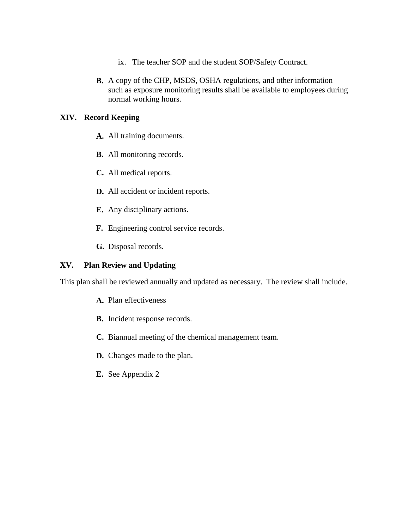- ix. The teacher SOP and the student SOP/Safety Contract.
- **B.** A copy of the CHP, MSDS, OSHA regulations, and other information such as exposure monitoring results shall be available to employees during normal working hours.

#### **XIV. Record Keeping**

- **A.** All training documents.
- **B.** All monitoring records.
- **C.** All medical reports.
- **D.** All accident or incident reports.
- **E.** Any disciplinary actions.
- **F.** Engineering control service records.
- **G.** Disposal records.

#### **XV. Plan Review and Updating**

This plan shall be reviewed annually and updated as necessary. The review shall include.

- **A.** Plan effectiveness
- **B.** Incident response records.
- **C.** Biannual meeting of the chemical management team.
- **D.** Changes made to the plan.
- **E.** See Appendix 2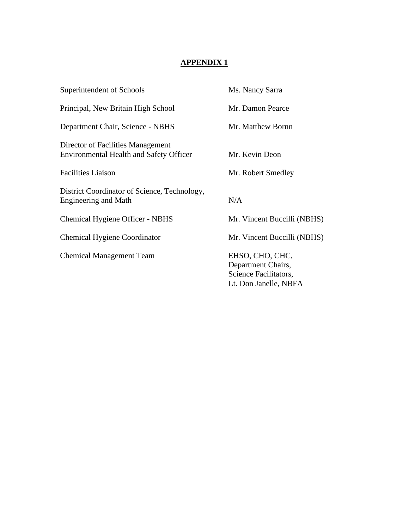| Superintendent of Schools                                                           | Ms. Nancy Sarra                                                                         |
|-------------------------------------------------------------------------------------|-----------------------------------------------------------------------------------------|
| Principal, New Britain High School                                                  | Mr. Damon Pearce                                                                        |
| Department Chair, Science - NBHS                                                    | Mr. Matthew Bornn                                                                       |
| Director of Facilities Management<br><b>Environmental Health and Safety Officer</b> | Mr. Kevin Deon                                                                          |
| <b>Facilities Liaison</b>                                                           | Mr. Robert Smedley                                                                      |
| District Coordinator of Science, Technology,<br>Engineering and Math                | N/A                                                                                     |
| Chemical Hygiene Officer - NBHS                                                     | Mr. Vincent Buccilli (NBHS)                                                             |
| <b>Chemical Hygiene Coordinator</b>                                                 | Mr. Vincent Buccilli (NBHS)                                                             |
| <b>Chemical Management Team</b>                                                     | EHSO, CHO, CHC,<br>Department Chairs,<br>Science Facilitators,<br>Lt. Don Janelle, NBFA |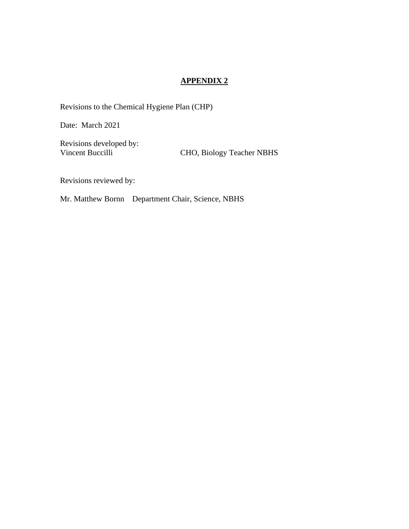Revisions to the Chemical Hygiene Plan (CHP)

Date: March 2021

Revisions developed by:

Vincent Buccilli CHO, Biology Teacher NBHS

Revisions reviewed by:

Mr. Matthew Bornn Department Chair, Science, NBHS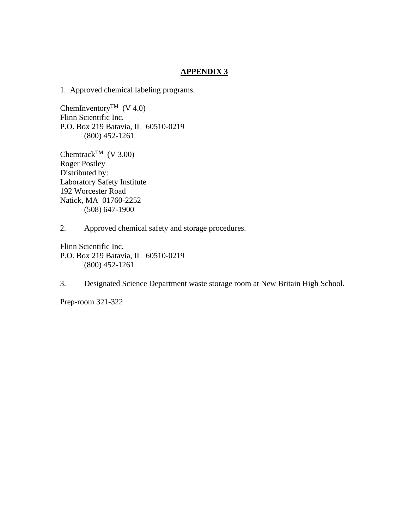1. Approved chemical labeling programs.

ChemInventory<sup>TM</sup> (V 4.0) Flinn Scientific Inc. P.O. Box 219 Batavia, IL 60510-0219 (800) 452-1261

Chemtrack<sup>TM</sup> (V 3.00) Roger Postley Distributed by: Laboratory Safety Institute 192 Worcester Road Natick, MA 01760-2252 (508) 647-1900

2. Approved chemical safety and storage procedures.

Flinn Scientific Inc. P.O. Box 219 Batavia, IL 60510-0219 (800) 452-1261

3. Designated Science Department waste storage room at New Britain High School.

Prep-room 321-322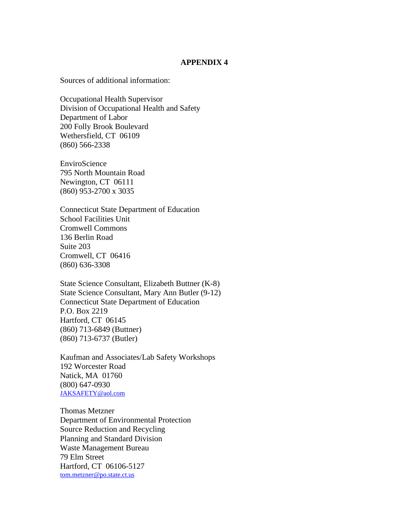Sources of additional information:

Occupational Health Supervisor Division of Occupational Health and Safety Department of Labor 200 Folly Brook Boulevard Wethersfield, CT 06109 (860) 566-2338

EnviroScience 795 North Mountain Road Newington, CT 06111 (860) 953-2700 x 3035

Connecticut State Department of Education School Facilities Unit Cromwell Commons 136 Berlin Road Suite 203 Cromwell, CT 06416 (860) 636-3308

State Science Consultant, Elizabeth Buttner (K-8) State Science Consultant, Mary Ann Butler (9-12) Connecticut State Department of Education P.O. Box 2219 Hartford, CT 06145 (860) 713-6849 (Buttner) (860) 713-6737 (Butler)

Kaufman and Associates/Lab Safety Workshops 192 Worcester Road Natick, MA 01760 (800) 647-0930 [JAKSAFETY@aol.com](mailto:JAKSAFETY@aol.com)

Thomas Metzner Department of Environmental Protection Source Reduction and Recycling Planning and Standard Division Waste Management Bureau 79 Elm Street Hartford, CT 06106-5127 [tom.metzner@po.state.ct.us](mailto:tom.metzner@po.state.ct.us)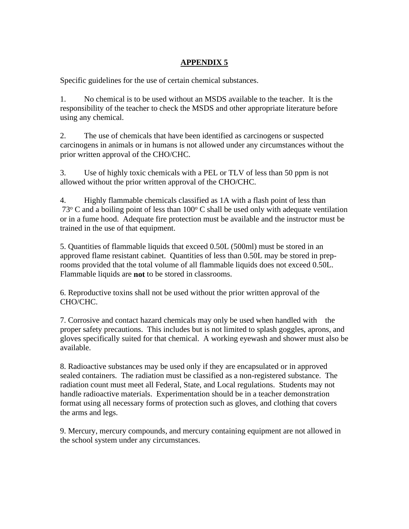Specific guidelines for the use of certain chemical substances.

1. No chemical is to be used without an MSDS available to the teacher. It is the responsibility of the teacher to check the MSDS and other appropriate literature before using any chemical.

2. The use of chemicals that have been identified as carcinogens or suspected carcinogens in animals or in humans is not allowed under any circumstances without the prior written approval of the CHO/CHC.

3. Use of highly toxic chemicals with a PEL or TLV of less than 50 ppm is not allowed without the prior written approval of the CHO/CHC.

4. Highly flammable chemicals classified as 1A with a flash point of less than  $73^{\circ}$  C and a boiling point of less than 100 $^{\circ}$  C shall be used only with adequate ventilation or in a fume hood. Adequate fire protection must be available and the instructor must be trained in the use of that equipment.

5. Quantities of flammable liquids that exceed 0.50L (500ml) must be stored in an approved flame resistant cabinet. Quantities of less than 0.50L may be stored in preprooms provided that the total volume of all flammable liquids does not exceed 0.50L. Flammable liquids are **not** to be stored in classrooms.

6. Reproductive toxins shall not be used without the prior written approval of the CHO/CHC.

7. Corrosive and contact hazard chemicals may only be used when handled with the proper safety precautions. This includes but is not limited to splash goggles, aprons, and gloves specifically suited for that chemical. A working eyewash and shower must also be available.

8. Radioactive substances may be used only if they are encapsulated or in approved sealed containers. The radiation must be classified as a non-registered substance. The radiation count must meet all Federal, State, and Local regulations. Students may not handle radioactive materials. Experimentation should be in a teacher demonstration format using all necessary forms of protection such as gloves, and clothing that covers the arms and legs.

9. Mercury, mercury compounds, and mercury containing equipment are not allowed in the school system under any circumstances.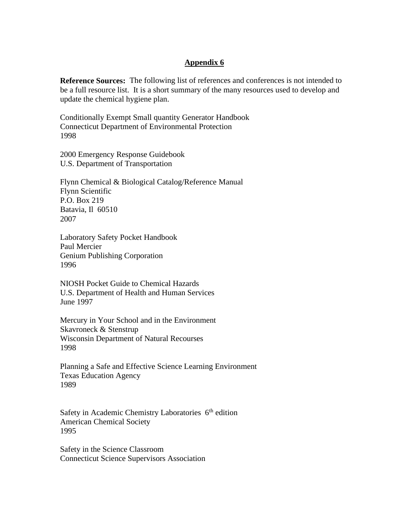## **Appendix 6**

**Reference Sources:** The following list of references and conferences is not intended to be a full resource list. It is a short summary of the many resources used to develop and update the chemical hygiene plan.

Conditionally Exempt Small quantity Generator Handbook Connecticut Department of Environmental Protection 1998

2000 Emergency Response Guidebook U.S. Department of Transportation

Flynn Chemical & Biological Catalog/Reference Manual Flynn Scientific P.O. Box 219 Batavia, Il 60510 2007

Laboratory Safety Pocket Handbook Paul Mercier Genium Publishing Corporation 1996

NIOSH Pocket Guide to Chemical Hazards U.S. Department of Health and Human Services June 1997

Mercury in Your School and in the Environment Skavroneck & Stenstrup Wisconsin Department of Natural Recourses 1998

Planning a Safe and Effective Science Learning Environment Texas Education Agency 1989

Safety in Academic Chemistry Laboratories 6<sup>th</sup> edition American Chemical Society 1995

Safety in the Science Classroom Connecticut Science Supervisors Association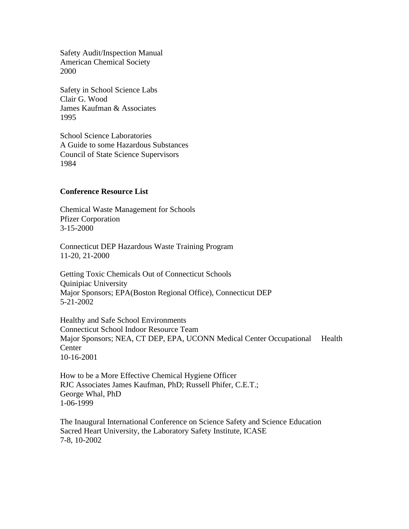Safety Audit/Inspection Manual American Chemical Society 2000

Safety in School Science Labs Clair G. Wood James Kaufman & Associates 1995

School Science Laboratories A Guide to some Hazardous Substances Council of State Science Supervisors 1984

#### **Conference Resource List**

Chemical Waste Management for Schools Pfizer Corporation 3-15-2000

Connecticut DEP Hazardous Waste Training Program 11-20, 21-2000

Getting Toxic Chemicals Out of Connecticut Schools Quinipiac University Major Sponsors; EPA(Boston Regional Office), Connecticut DEP 5-21-2002

Healthy and Safe School Environments Connecticut School Indoor Resource Team Major Sponsors; NEA, CT DEP, EPA, UCONN Medical Center Occupational Health **Center** 10-16-2001

How to be a More Effective Chemical Hygiene Officer RJC Associates James Kaufman, PhD; Russell Phifer, C.E.T.; George Whal, PhD 1-06-1999

The Inaugural International Conference on Science Safety and Science Education Sacred Heart University, the Laboratory Safety Institute, ICASE 7-8, 10-2002